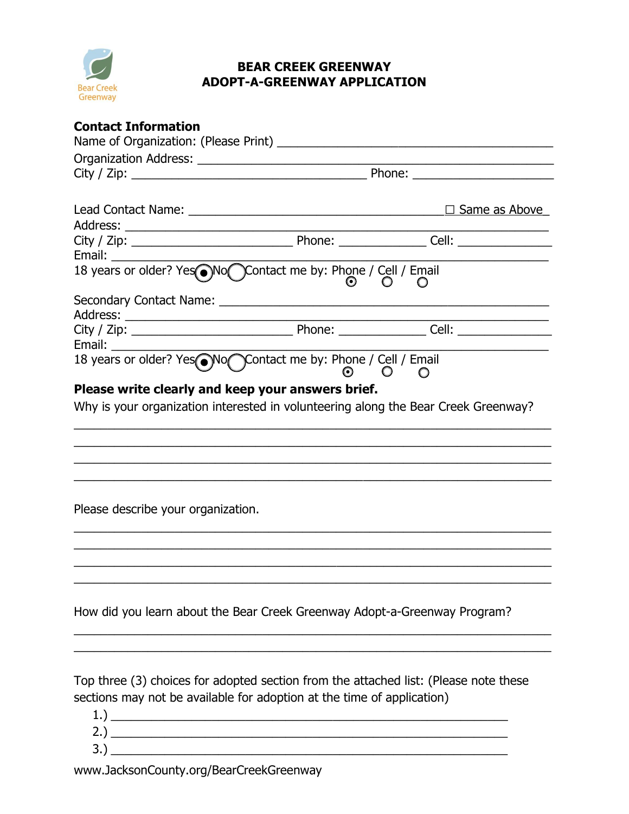

## **BEAR CREEK GREENWAY ADOPT-A-GREENWAY APPLICATION**

|                                                                                                                                         |                 | $\Box$ Same as Above |  |
|-----------------------------------------------------------------------------------------------------------------------------------------|-----------------|----------------------|--|
|                                                                                                                                         |                 |                      |  |
|                                                                                                                                         |                 |                      |  |
|                                                                                                                                         |                 |                      |  |
| 18 years or older? Yes No Contact me by: Phone / Cell / Email                                                                           |                 | $\circ$              |  |
|                                                                                                                                         |                 |                      |  |
|                                                                                                                                         |                 |                      |  |
|                                                                                                                                         |                 |                      |  |
|                                                                                                                                         |                 |                      |  |
| 18 years or older? Yes No Contact me by: Phone / Cell / Email                                                                           | $\circ$ $\circ$ |                      |  |
|                                                                                                                                         |                 |                      |  |
| Please write clearly and keep your answers brief.<br>Why is your organization interested in volunteering along the Bear Creek Greenway? |                 |                      |  |
|                                                                                                                                         |                 |                      |  |
|                                                                                                                                         |                 |                      |  |
|                                                                                                                                         |                 |                      |  |
|                                                                                                                                         |                 |                      |  |
|                                                                                                                                         |                 |                      |  |
|                                                                                                                                         |                 |                      |  |
| Please describe your organization.                                                                                                      |                 |                      |  |
|                                                                                                                                         |                 |                      |  |
|                                                                                                                                         |                 |                      |  |
|                                                                                                                                         |                 |                      |  |
|                                                                                                                                         |                 |                      |  |
|                                                                                                                                         |                 |                      |  |
| How did you learn about the Bear Creek Greenway Adopt-a-Greenway Program?                                                               |                 |                      |  |
|                                                                                                                                         |                 |                      |  |
|                                                                                                                                         |                 |                      |  |
|                                                                                                                                         |                 |                      |  |
| Top three (3) choices for adopted section from the attached list: (Please note these                                                    |                 |                      |  |
| sections may not be available for adoption at the time of application)                                                                  |                 |                      |  |
|                                                                                                                                         |                 |                      |  |
|                                                                                                                                         |                 |                      |  |
|                                                                                                                                         |                 |                      |  |
|                                                                                                                                         |                 |                      |  |

www.JacksonCounty.org/BearCreekGreenway